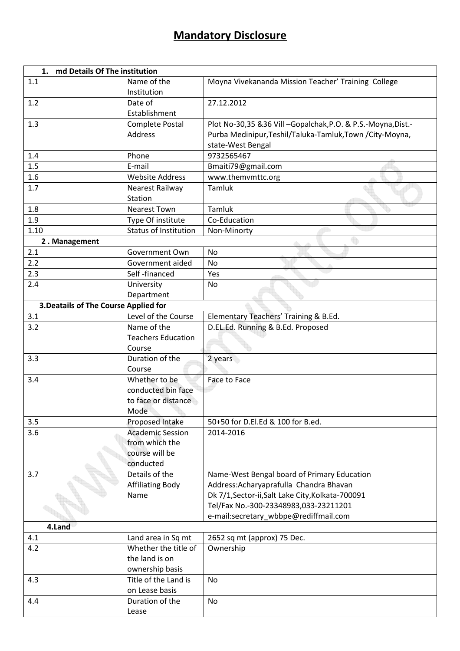## **Mandatory Disclosure**

| 1. md Details Of The institution      |                             |                                                              |  |  |
|---------------------------------------|-----------------------------|--------------------------------------------------------------|--|--|
| 1.1                                   | Name of the<br>Institution  | Moyna Vivekananda Mission Teacher' Training College          |  |  |
| 1.2                                   | Date of<br>Establishment    | 27.12.2012                                                   |  |  |
| 1.3                                   | <b>Complete Postal</b>      | Plot No-30,35 &36 Vill -Gopalchak, P.O. & P.S.-Moyna, Dist.- |  |  |
|                                       | <b>Address</b>              | Purba Medinipur, Teshil/Taluka-Tamluk, Town / City-Moyna,    |  |  |
|                                       |                             | state-West Bengal                                            |  |  |
| 1.4                                   | Phone                       | 9732565467                                                   |  |  |
| 1.5                                   | E-mail                      | Bmaiti79@gmail.com                                           |  |  |
| 1.6                                   | <b>Website Address</b>      | www.themvmttc.org                                            |  |  |
| 1.7                                   | Nearest Railway             | Tamluk                                                       |  |  |
|                                       | Station                     |                                                              |  |  |
| 1.8                                   | <b>Nearest Town</b>         | Tamluk                                                       |  |  |
| 1.9                                   | Type Of institute           | Co-Education                                                 |  |  |
| 1.10                                  | Status of Institution       | Non-Minorty                                                  |  |  |
| 2. Management                         |                             |                                                              |  |  |
| 2.1                                   | Government Own              | No                                                           |  |  |
| 2.2                                   | Government aided            | No                                                           |  |  |
| 2.3                                   | Self-financed               | Yes                                                          |  |  |
| 2.4                                   | University                  | No                                                           |  |  |
|                                       | Department                  |                                                              |  |  |
| 3. Deatails of The Course Applied for |                             |                                                              |  |  |
| 3.1                                   | Level of the Course         | Elementary Teachers' Training & B.Ed.                        |  |  |
| 3.2                                   | Name of the                 | D.EL.Ed. Running & B.Ed. Proposed                            |  |  |
|                                       | <b>Teachers Education</b>   |                                                              |  |  |
|                                       | Course                      |                                                              |  |  |
| 3.3                                   | Duration of the             | 2 years                                                      |  |  |
|                                       | Course                      |                                                              |  |  |
| 3.4                                   | Whether to be               | Face to Face                                                 |  |  |
|                                       | conducted bin face          |                                                              |  |  |
|                                       | to face or distance<br>Mode |                                                              |  |  |
| 3.5                                   | Proposed Intake             | 50+50 for D.El.Ed & 100 for B.ed.                            |  |  |
| 3.6                                   | <b>Academic Session</b>     | 2014-2016                                                    |  |  |
|                                       | from which the              |                                                              |  |  |
|                                       | course will be              |                                                              |  |  |
|                                       | conducted                   |                                                              |  |  |
| 3.7                                   | Details of the              | Name-West Bengal board of Primary Education                  |  |  |
|                                       | <b>Affiliating Body</b>     | Address: Acharyaprafulla Chandra Bhavan                      |  |  |
|                                       | Name                        | Dk 7/1, Sector-ii, Salt Lake City, Kolkata-700091            |  |  |
|                                       |                             | Tel/Fax No.-300-23348983,033-23211201                        |  |  |
|                                       |                             | e-mail:secretary_wbbpe@rediffmail.com                        |  |  |
| 4.Land                                |                             |                                                              |  |  |
| 4.1                                   | Land area in Sq mt          | 2652 sq mt (approx) 75 Dec.                                  |  |  |
| 4.2                                   | Whether the title of        | Ownership                                                    |  |  |
|                                       | the land is on              |                                                              |  |  |
|                                       | ownership basis             |                                                              |  |  |
| 4.3                                   | Title of the Land is        | No                                                           |  |  |
|                                       | on Lease basis              |                                                              |  |  |
| 4.4                                   | Duration of the             | No                                                           |  |  |
|                                       | Lease                       |                                                              |  |  |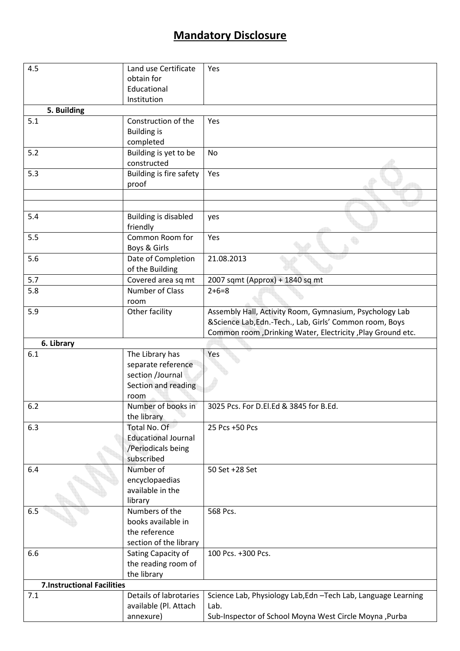## **Mandatory Disclosure**

| 4.5                               | Land use Certificate            | Yes                                                                    |
|-----------------------------------|---------------------------------|------------------------------------------------------------------------|
|                                   | obtain for                      |                                                                        |
|                                   | Educational                     |                                                                        |
|                                   | Institution                     |                                                                        |
| 5. Building                       |                                 |                                                                        |
| 5.1                               | Construction of the             | Yes                                                                    |
|                                   | <b>Building is</b>              |                                                                        |
|                                   | completed                       |                                                                        |
| 5.2                               | Building is yet to be           | No                                                                     |
|                                   | constructed                     |                                                                        |
| 5.3                               | Building is fire safety         | Yes                                                                    |
|                                   | proof                           |                                                                        |
|                                   |                                 |                                                                        |
|                                   |                                 |                                                                        |
| 5.4                               | Building is disabled            | yes                                                                    |
|                                   | friendly                        |                                                                        |
| 5.5                               | Common Room for<br>Boys & Girls | Yes                                                                    |
| 5.6                               | Date of Completion              | 21.08.2013                                                             |
|                                   | of the Building                 |                                                                        |
| 5.7                               | Covered area sq mt              | 2007 sqmt (Approx) + 1840 sq mt                                        |
| 5.8                               | Number of Class                 | $2+6=8$                                                                |
|                                   | room                            |                                                                        |
| 5.9                               | Other facility                  | Assembly Hall, Activity Room, Gymnasium, Psychology Lab                |
|                                   |                                 | &Science Lab,Edn.-Tech., Lab, Girls' Common room, Boys                 |
|                                   |                                 | Common room, Drinking Water, Electricity, Play Ground etc.             |
| 6. Library                        |                                 |                                                                        |
| 6.1                               | The Library has                 | Yes                                                                    |
|                                   | separate reference              |                                                                        |
|                                   | section /Journal                |                                                                        |
|                                   | Section and reading             |                                                                        |
|                                   | room                            |                                                                        |
| 6.2                               | Number of books in              | 3025 Pcs. For D.El.Ed & 3845 for B.Ed.                                 |
|                                   | the library                     |                                                                        |
| 6.3                               | Total No. Of                    | 25 Pcs +50 Pcs                                                         |
|                                   | <b>Educational Journal</b>      |                                                                        |
|                                   | /Periodicals being              |                                                                        |
|                                   | subscribed                      |                                                                        |
| 6.4                               | Number of                       | 50 Set +28 Set                                                         |
|                                   | encyclopaedias                  |                                                                        |
|                                   | available in the                |                                                                        |
|                                   | library                         |                                                                        |
| 6.5                               | Numbers of the                  | 568 Pcs.                                                               |
|                                   | books available in              |                                                                        |
|                                   | the reference                   |                                                                        |
|                                   | section of the library          |                                                                        |
| 6.6                               | Sating Capacity of              | 100 Pcs. +300 Pcs.                                                     |
|                                   | the reading room of             |                                                                        |
| <b>7.Instructional Facilities</b> | the library                     |                                                                        |
| 7.1                               | Details of labrotaries          |                                                                        |
|                                   | available (Pl. Attach           | Science Lab, Physiology Lab, Edn - Tech Lab, Language Learning<br>Lab. |
|                                   | annexure)                       | Sub-Inspector of School Moyna West Circle Moyna , Purba                |
|                                   |                                 |                                                                        |